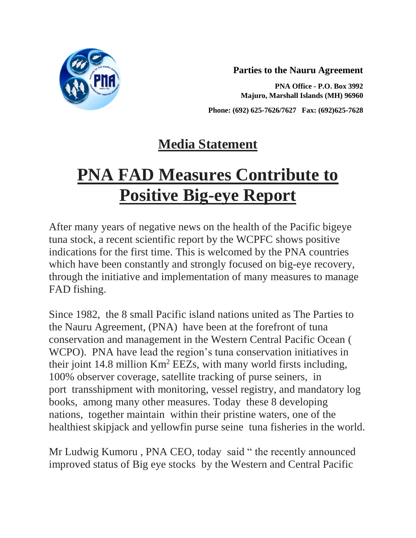

**Parties to the Nauru Agreement**

**PNA Office - P.O. Box 3992 Majuro, Marshall Islands (MH) 96960**

**Phone: (692) 625-7626/7627 Fax: (692)625-7628**

## **Media Statement**

## **PNA FAD Measures Contribute to Positive Big-eye Report**

After many years of negative news on the health of the Pacific bigeye tuna stock, a recent scientific report by the WCPFC shows positive indications for the first time. This is welcomed by the PNA countries which have been constantly and strongly focused on big-eye recovery, through the initiative and implementation of many measures to manage FAD fishing.

Since 1982, the 8 small Pacific island nations united as The Parties to the Nauru Agreement, (PNA) have been at the forefront of tuna conservation and management in the Western Central Pacific Ocean ( WCPO). PNA have lead the region's tuna conservation initiatives in their joint 14.8 million Km<sup>2</sup> EEZs, with many world firsts including, 100% observer coverage, satellite tracking of purse seiners, in port transshipment with monitoring, vessel registry, and mandatory log books, among many other measures. Today these 8 developing nations, together maintain within their pristine waters, one of the healthiest skipjack and yellowfin purse seine tuna fisheries in the world.

Mr Ludwig Kumoru , PNA CEO, today said " the recently announced improved status of Big eye stocks by the Western and Central Pacific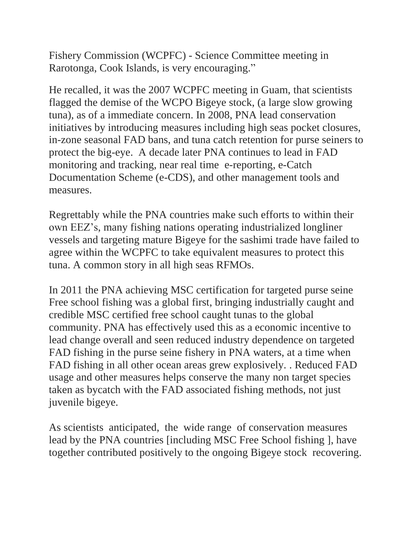Fishery Commission (WCPFC) - Science Committee meeting in Rarotonga, Cook Islands, is very encouraging."

He recalled, it was the 2007 WCPFC meeting in Guam, that scientists flagged the demise of the WCPO Bigeye stock, (a large slow growing tuna), as of a immediate concern. In 2008, PNA lead conservation initiatives by introducing measures including high seas pocket closures, in-zone seasonal FAD bans, and tuna catch retention for purse seiners to protect the big-eye. A decade later PNA continues to lead in FAD monitoring and tracking, near real time e-reporting, e-Catch Documentation Scheme (e-CDS), and other management tools and measures.

Regrettably while the PNA countries make such efforts to within their own EEZ's, many fishing nations operating industrialized longliner vessels and targeting mature Bigeye for the sashimi trade have failed to agree within the WCPFC to take equivalent measures to protect this tuna. A common story in all high seas RFMOs.

In 2011 the PNA achieving MSC certification for targeted purse seine Free school fishing was a global first, bringing industrially caught and credible MSC certified free school caught tunas to the global community. PNA has effectively used this as a economic incentive to lead change overall and seen reduced industry dependence on targeted FAD fishing in the purse seine fishery in PNA waters, at a time when FAD fishing in all other ocean areas grew explosively. . Reduced FAD usage and other measures helps conserve the many non target species taken as bycatch with the FAD associated fishing methods, not just juvenile bigeye.

As scientists anticipated, the wide range of conservation measures lead by the PNA countries [including MSC Free School fishing ], have together contributed positively to the ongoing Bigeye stock recovering.